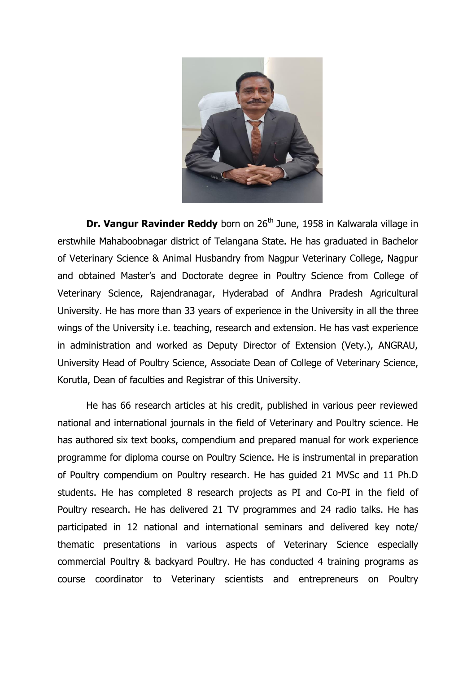

**Dr. Vangur Ravinder Reddy** born on 26<sup>th</sup> June, 1958 in Kalwarala village in erstwhile Mahaboobnagar district of Telangana State. He has graduated in Bachelor of Veterinary Science & Animal Husbandry from Nagpur Veterinary College, Nagpur and obtained Master's and Doctorate degree in Poultry Science from College of Veterinary Science, Rajendranagar, Hyderabad of Andhra Pradesh Agricultural University. He has more than 33 years of experience in the University in all the three wings of the University i.e. teaching, research and extension. He has vast experience in administration and worked as Deputy Director of Extension (Vety.), ANGRAU, University Head of Poultry Science, Associate Dean of College of Veterinary Science, Korutla, Dean of faculties and Registrar of this University.

He has 66 research articles at his credit, published in various peer reviewed national and international journals in the field of Veterinary and Poultry science. He has authored six text books, compendium and prepared manual for work experience programme for diploma course on Poultry Science. He is instrumental in preparation of Poultry compendium on Poultry research. He has guided 21 MVSc and 11 Ph.D students. He has completed 8 research projects as PI and Co-PI in the field of Poultry research. He has delivered 21 TV programmes and 24 radio talks. He has participated in 12 national and international seminars and delivered key note/ thematic presentations in various aspects of Veterinary Science especially commercial Poultry & backyard Poultry. He has conducted 4 training programs as course coordinator to Veterinary scientists and entrepreneurs on Poultry